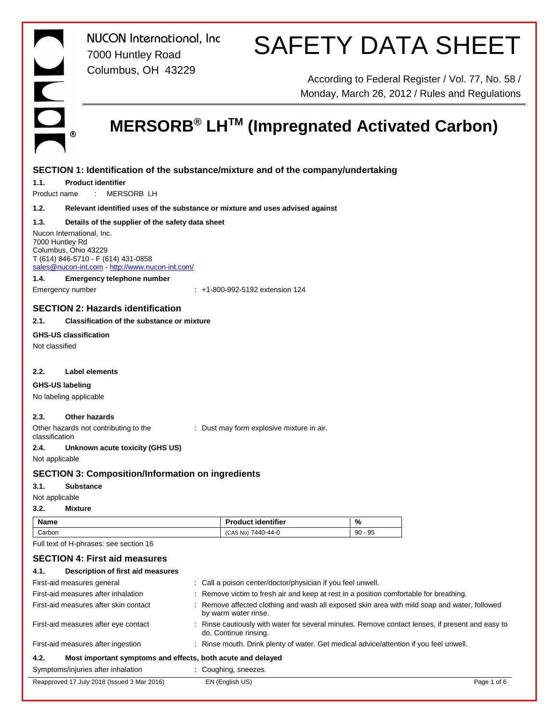# SAFETY DATA SHEET

According to Federal Register / Vol. 77, No. 58 / Monday, March 26, 2012 / Rules and Regulations

## **MERSORB® LHTM (Impregnated Activated Carbon)**

### **SECTION 1: Identification of the substance/mixture and of the company/undertaking**

#### **1.1. Product identifier**

Product name : MERSORB LH

#### **1.2. Relevant identified uses of the substance or mixture and uses advised against**

#### **1.3. Details of the supplier of the safety data sheet**

Nucon International, Inc. 7000 Huntley Rd Columbus, Ohio 43229 T (614) 846-5710 - F (614) 431-0858 sales@nucon-int.com - http://www.nucon-int.com/

#### **1.4. Emergency telephone number**

Emergency number : +1-800-992-5192 extension 124

#### **SECTION 2: Hazards identification**

#### **2.1. Classification of the substance or mixture**

#### **GHS-US classification**

Not classified

#### **2.2. Label elements**

#### **GHS-US labeling**

No labeling applicable

#### **2.3. Other hazards**

Other hazards not contributing to the classification

: Dust may form explosive mixture in air.

### **2.4. Unknown acute toxicity (GHS US)**

Not applicable

#### **SECTION 3: Composition/Information on ingredients**

#### **3.1. Substance**

#### Not applicable

#### **3.2. Mixture**

| <b>Name</b> | <b>Product identifier</b> | %        |
|-------------|---------------------------|----------|
| Carbon      | 7440-44-0<br>(CAS No)     | 95<br>90 |

| Full text of H-phrases: see section 16                              |                                                                                                                           |             |
|---------------------------------------------------------------------|---------------------------------------------------------------------------------------------------------------------------|-------------|
| <b>SECTION 4: First aid measures</b>                                |                                                                                                                           |             |
| 4.1.<br>Description of first aid measures                           |                                                                                                                           |             |
| First-aid measures general                                          | : Call a poison center/doctor/physician if you feel unwell.                                                               |             |
| First-aid measures after inhalation                                 | : Remove victim to fresh air and keep at rest in a position comfortable for breathing.                                    |             |
| First-aid measures after skin contact                               | Remove affected clothing and wash all exposed skin area with mild soap and water, followed<br>by warm water rinse.        |             |
| First-aid measures after eye contact                                | : Rinse cautiously with water for several minutes. Remove contact lenses, if present and easy to<br>do. Continue rinsing. |             |
| First-aid measures after ingestion                                  | : Rinse mouth. Drink plenty of water. Get medical advice/attention if you feel unwell.                                    |             |
| 4.2.<br>Most important symptoms and effects, both acute and delayed |                                                                                                                           |             |
| Symptoms/injuries after inhalation                                  | : Coughing, sneezes.                                                                                                      |             |
| Reapproved 17 July 2018 (Issued 3 Mar 2016)                         | EN (English US)                                                                                                           | Page 1 of 6 |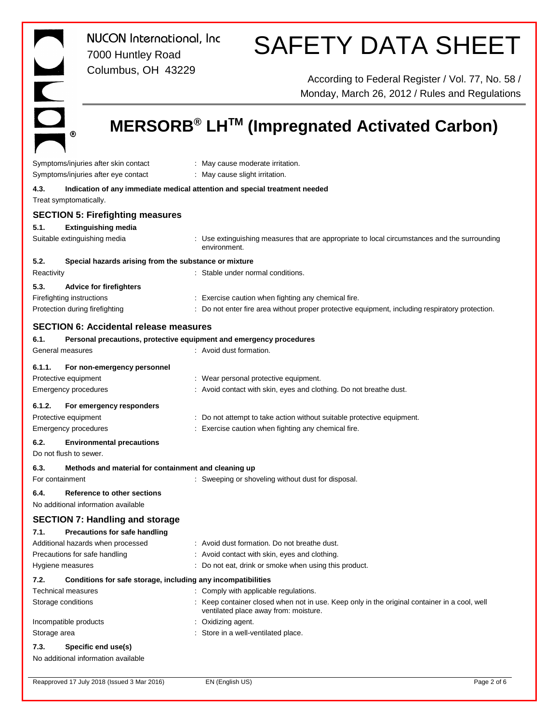| NUCON International, Inc.<br>$\overline{\phantom{0}}$<br>7000 Huntley Road                            | <b>SAFETY DATA SHEET</b>                                                                                                                               |             |
|-------------------------------------------------------------------------------------------------------|--------------------------------------------------------------------------------------------------------------------------------------------------------|-------------|
| Columbus, OH 43229<br>$\blacksquare$                                                                  | According to Federal Register / Vol. 77, No. 58 /<br>Monday, March 26, 2012 / Rules and Regulations                                                    |             |
| $\overline{\mathbf{C}}$<br>◉                                                                          | MERSORB <sup>®</sup> LH <sup>™</sup> (Impregnated Activated Carbon)                                                                                    |             |
| Symptoms/injuries after skin contact<br>Symptoms/injuries after eye contact                           | : May cause moderate irritation.<br>: May cause slight irritation.                                                                                     |             |
| 4.3.<br>Treat symptomatically.                                                                        | Indication of any immediate medical attention and special treatment needed                                                                             |             |
| <b>SECTION 5: Firefighting measures</b>                                                               |                                                                                                                                                        |             |
| 5.1.<br><b>Extinguishing media</b><br>Suitable extinguishing media                                    | : Use extinguishing measures that are appropriate to local circumstances and the surrounding<br>environment.                                           |             |
| 5.2.<br>Special hazards arising from the substance or mixture<br>Reactivity                           | : Stable under normal conditions.                                                                                                                      |             |
| 5.3.<br><b>Advice for firefighters</b><br>Firefighting instructions<br>Protection during firefighting | : Exercise caution when fighting any chemical fire.<br>: Do not enter fire area without proper protective equipment, including respiratory protection. |             |
| <b>SECTION 6: Accidental release measures</b>                                                         |                                                                                                                                                        |             |
| 6.1.<br>General measures                                                                              | Personal precautions, protective equipment and emergency procedures<br>: Avoid dust formation.                                                         |             |
| 6.1.1.<br>For non-emergency personnel<br>Protective equipment<br>Emergency procedures                 | Wear personal protective equipment.<br>: Avoid contact with skin, eyes and clothing. Do not breathe dust.                                              |             |
| 6.1.2.<br>For emergency responders<br>Protective equipment<br><b>Emergency procedures</b>             | Do not attempt to take action without suitable protective equipment.<br>: Exercise caution when fighting any chemical fire.                            |             |
| 6.2.<br><b>Environmental precautions</b><br>Do not flush to sewer.                                    |                                                                                                                                                        |             |
| 6.3.<br>Methods and material for containment and cleaning up<br>For containment                       | : Sweeping or shoveling without dust for disposal.                                                                                                     |             |
| 6.4.<br>Reference to other sections<br>No additional information available                            |                                                                                                                                                        |             |
| <b>SECTION 7: Handling and storage</b>                                                                |                                                                                                                                                        |             |
| Precautions for safe handling<br>7.1.                                                                 |                                                                                                                                                        |             |
| Additional hazards when processed                                                                     | : Avoid dust formation. Do not breathe dust.                                                                                                           |             |
| Precautions for safe handling                                                                         | : Avoid contact with skin, eyes and clothing.                                                                                                          |             |
| Hygiene measures                                                                                      | : Do not eat, drink or smoke when using this product.                                                                                                  |             |
| 7.2.<br>Conditions for safe storage, including any incompatibilities<br>Technical measures            | Comply with applicable regulations.                                                                                                                    |             |
| Storage conditions                                                                                    | Keep container closed when not in use. Keep only in the original container in a cool, well<br>ventilated place away from: moisture.                    |             |
| Incompatible products                                                                                 | Oxidizing agent.                                                                                                                                       |             |
| Storage area                                                                                          | Store in a well-ventilated place.                                                                                                                      |             |
| 7.3.<br>Specific end use(s)<br>No additional information available                                    |                                                                                                                                                        |             |
| Reapproved 17 July 2018 (Issued 3 Mar 2016)                                                           | EN (English US)                                                                                                                                        | Page 2 of 6 |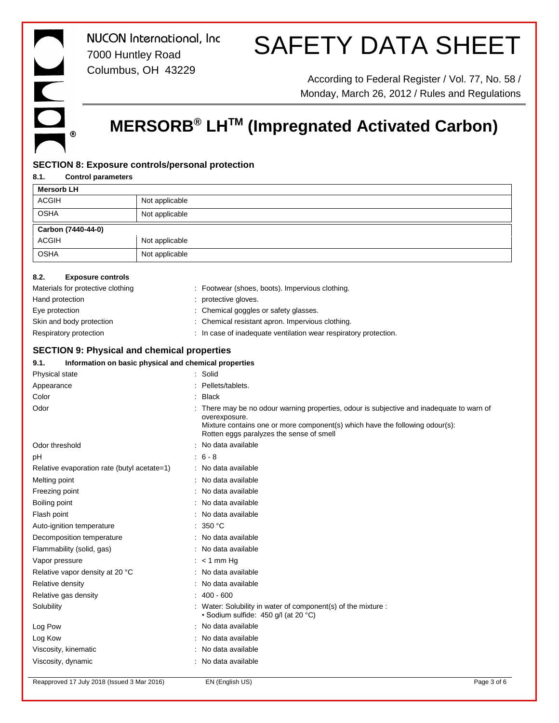# SAFETY DATA SHEET

According to Federal Register / Vol. 77, No. 58 / Monday, March 26, 2012 / Rules and Regulations

## **MERSORB® LHTM (Impregnated Activated Carbon)**

#### **SECTION 8: Exposure controls/personal protection**

#### **8.1. Control parameters**

| <b>Mersorb LH</b>  |                |  |
|--------------------|----------------|--|
| <b>ACGIH</b>       | Not applicable |  |
| <b>OSHA</b>        | Not applicable |  |
| Carbon (7440-44-0) |                |  |
| <b>ACGIH</b>       | Not applicable |  |
| <b>OSHA</b>        | Not applicable |  |

#### **8.2. Exposure controls**

| Materials for protective clothing | : Footwear (shoes, boots). Impervious clothing.                  |  |
|-----------------------------------|------------------------------------------------------------------|--|
| Hand protection                   | : protective gloves.                                             |  |
| Eye protection                    | : Chemical goggles or safety glasses.                            |  |
| Skin and body protection          | : Chemical resistant apron. Impervious clothing.                 |  |
| Respiratory protection            | : In case of inadequate ventilation wear respiratory protection. |  |

#### **SECTION 9: Physical and chemical properties**

#### **9.1. Information on basic physical and chemical properties**

| Physical state                              | : Solid                                                                                                                                                                                                                              |             |
|---------------------------------------------|--------------------------------------------------------------------------------------------------------------------------------------------------------------------------------------------------------------------------------------|-------------|
| Appearance                                  | Pellets/tablets.                                                                                                                                                                                                                     |             |
| Color                                       | <b>Black</b>                                                                                                                                                                                                                         |             |
| Odor                                        | There may be no odour warning properties, odour is subjective and inadequate to warn of<br>overexposure.<br>Mixture contains one or more component(s) which have the following odour(s):<br>Rotten eggs paralyzes the sense of smell |             |
| Odor threshold                              | No data available                                                                                                                                                                                                                    |             |
| pH                                          | $6 - 8$                                                                                                                                                                                                                              |             |
| Relative evaporation rate (butyl acetate=1) | No data available                                                                                                                                                                                                                    |             |
| Melting point                               | No data available                                                                                                                                                                                                                    |             |
| Freezing point                              | : No data available                                                                                                                                                                                                                  |             |
| Boiling point                               | No data available                                                                                                                                                                                                                    |             |
| Flash point                                 | No data available                                                                                                                                                                                                                    |             |
| Auto-ignition temperature                   | 350 °C                                                                                                                                                                                                                               |             |
| Decomposition temperature                   | No data available                                                                                                                                                                                                                    |             |
| Flammability (solid, gas)                   | : No data available                                                                                                                                                                                                                  |             |
| Vapor pressure                              | $:$ < 1 mm Hg                                                                                                                                                                                                                        |             |
| Relative vapor density at 20 °C             | No data available                                                                                                                                                                                                                    |             |
| Relative density                            | No data available                                                                                                                                                                                                                    |             |
| Relative gas density                        | $400 - 600$                                                                                                                                                                                                                          |             |
| Solubility                                  | Water: Solubility in water of component(s) of the mixture :<br>• Sodium sulfide: 450 g/l (at 20 °C)                                                                                                                                  |             |
| Log Pow                                     | No data available                                                                                                                                                                                                                    |             |
| Log Kow                                     | No data available                                                                                                                                                                                                                    |             |
| Viscosity, kinematic                        | No data available                                                                                                                                                                                                                    |             |
| Viscosity, dynamic                          | No data available                                                                                                                                                                                                                    |             |
| Reapproved 17 July 2018 (Issued 3 Mar 2016) | EN (English US)                                                                                                                                                                                                                      | Page 3 of 6 |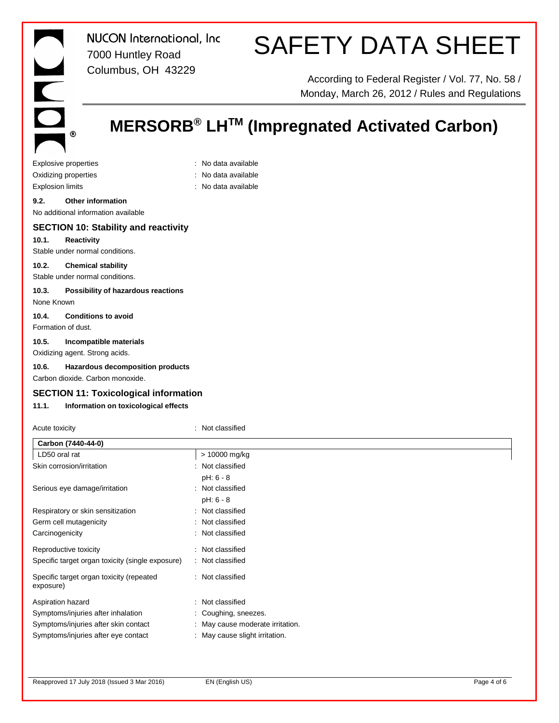®

*NUCON International, Inc* 7000 Huntley Road Columbus, OH 43229

# SAFETY DATA SHEET

According to Federal Register / Vol. 77, No. 58 / Monday, March 26, 2012 / Rules and Regulations

## **MERSORB® LHTM (Impregnated Activated Carbon)**

Explosive properties in the set of the set of the September 2011 in the September 2016 in the September 2016 Oxidizing properties **in the Community Community** Contract available Explosion limits **Explosion** limits **Explosion** limits **Explosion** limits **Explosion**  $\mathbb{R}$  **No data available** 

- 
- 

#### **9.2. Other information**

No additional information available

#### **SECTION 10: Stability and reactivity**

**10.1. Reactivity**

Stable under normal conditions.

### **10.2. Chemical stability**

Stable under normal conditions.

#### **10.3. Possibility of hazardous reactions**

None Known

#### **10.4. Conditions to avoid** Formation of dust.

#### **10.5. Incompatible materials**

Oxidizing agent. Strong acids.

#### **10.6. Hazardous decomposition products**

Carbon dioxide. Carbon monoxide.

#### **SECTION 11: Toxicological information**

#### **11.1. Information on toxicological effects**

| Acute toxicity                                        | Not classified                 |
|-------------------------------------------------------|--------------------------------|
| Carbon (7440-44-0)                                    |                                |
| LD50 oral rat                                         | > 10000 mg/kg                  |
| Skin corrosion/irritation                             | Not classified<br>÷            |
|                                                       | $pH: 6 - 8$                    |
| Serious eye damage/irritation                         | Not classified                 |
|                                                       | $pH: 6 - 8$                    |
| Respiratory or skin sensitization                     | : Not classified               |
| Germ cell mutagenicity                                | Not classified                 |
| Carcinogenicity                                       | Not classified<br>÷            |
| Reproductive toxicity                                 | Not classified                 |
| Specific target organ toxicity (single exposure)      | : Not classified               |
| Specific target organ toxicity (repeated<br>exposure) | : Not classified               |
| Aspiration hazard                                     | Not classified<br>٠            |
| Symptoms/injuries after inhalation                    | : Coughing, sneezes.           |
| Symptoms/injuries after skin contact                  | May cause moderate irritation. |
| Symptoms/injuries after eye contact                   | : May cause slight irritation. |
|                                                       |                                |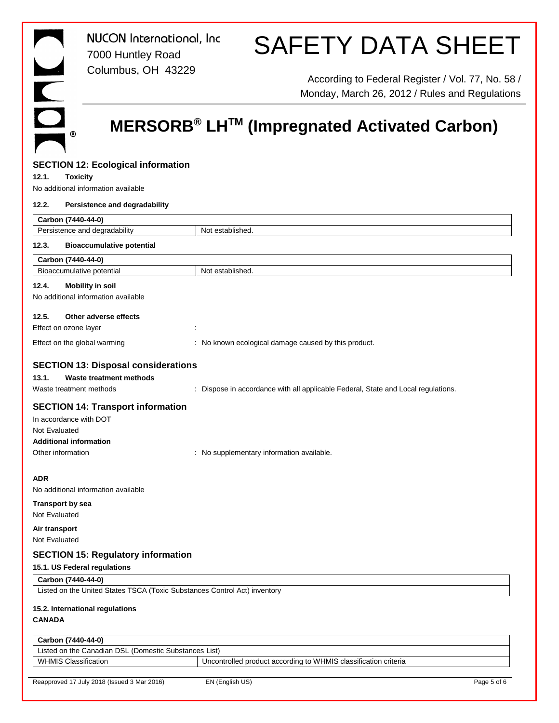# SAFETY DATA SHEET

According to Federal Register / Vol. 77, No. 58 / Monday, March 26, 2012 / Rules and Regulations

## **MERSORB® LHTM (Impregnated Activated Carbon)**

### Reapproved 17 July 2018 (Issued 3 Mar 2016) EN (English US) Page 5 of 6 **SECTION 12: Ecological information 12.1. Toxicity** No additional information available **12.2. Persistence and degradability Carbon (7440-44-0)** Persistence and degradability Not established. **12.3. Bioaccumulative potential Carbon (7440-44-0)** Bioaccumulative potential Not established. **12.4. Mobility in soil** No additional information available **12.5. Other adverse effects** Effect on ozone layer : Effect on the global warming : No known ecological damage caused by this product. **SECTION 13: Disposal considerations 13.1. Waste treatment methods** Waste treatment methods : Dispose in accordance with all applicable Federal, State and Local regulations. **SECTION 14: Transport information** In accordance with DOT Not Evaluated **Additional information** Other information **contains the container information**  $\cdot$  No supplementary information available. **ADR** No additional information available **Transport by sea** Not Evaluated **Air transport** Not Evaluated **SECTION 15: Regulatory information 15.1. US Federal regulations Carbon (7440-44-0)** Listed on the United States TSCA (Toxic Substances Control Act) inventory **15.2. International regulations CANADA Carbon (7440-44-0)** Listed on the Canadian DSL (Domestic Substances List) WHMIS Classification **VELA CONTROLLED ACCORDITION** Uncontrolled product according to WHMIS classification criteria